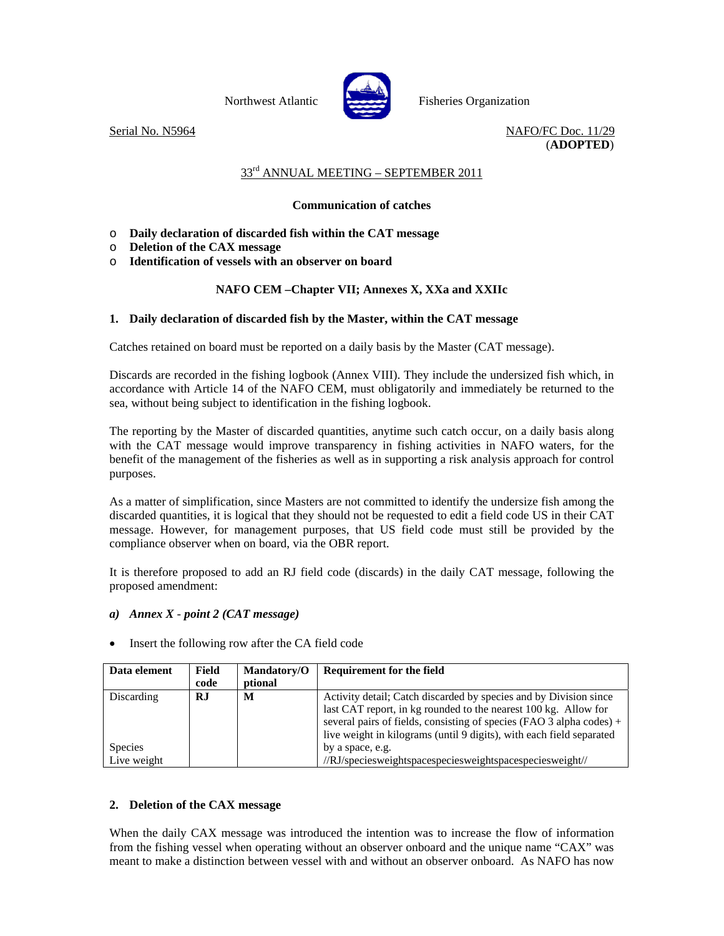



Northwest Atlantic Fisheries Organization

Serial No. N5964 NAFO/FC Doc. 11/29 (**ADOPTED**)

### 33<sup>rd</sup> ANNUAL MEETING – SEPTEMBER 2011

# **Communication of catches**

- o **Daily declaration of discarded fish within the CAT message**
- o **Deletion of the CAX message**
- o **Identification of vessels with an observer on board**

# **NAFO CEM –Chapter VII; Annexes X, XXa and XXIIc**

# **1. Daily declaration of discarded fish by the Master, within the CAT message**

Catches retained on board must be reported on a daily basis by the Master (CAT message).

Discards are recorded in the fishing logbook (Annex VIII). They include the undersized fish which, in accordance with Article 14 of the NAFO CEM, must obligatorily and immediately be returned to the sea, without being subject to identification in the fishing logbook.

The reporting by the Master of discarded quantities, anytime such catch occur, on a daily basis along with the CAT message would improve transparency in fishing activities in NAFO waters, for the benefit of the management of the fisheries as well as in supporting a risk analysis approach for control purposes.

As a matter of simplification, since Masters are not committed to identify the undersize fish among the discarded quantities, it is logical that they should not be requested to edit a field code US in their CAT message. However, for management purposes, that US field code must still be provided by the compliance observer when on board, via the OBR report.

It is therefore proposed to add an RJ field code (discards) in the daily CAT message, following the proposed amendment:

### *a) Annex X* - *point 2 (CAT message)*

| Data element   | Field<br>code | <b>Mandatory/O</b><br>ptional | <b>Requirement for the field</b>                                     |  |
|----------------|---------------|-------------------------------|----------------------------------------------------------------------|--|
|                |               |                               |                                                                      |  |
| Discarding     | R.I           | M                             | Activity detail; Catch discarded by species and by Division since    |  |
|                |               |                               | last CAT report, in kg rounded to the nearest 100 kg. Allow for      |  |
|                |               |                               | several pairs of fields, consisting of species (FAO 3 alpha codes) + |  |
|                |               |                               |                                                                      |  |
|                |               |                               | live weight in kilograms (until 9 digits), with each field separated |  |
| <b>Species</b> |               |                               | by a space, e.g.                                                     |  |
| Live weight    |               |                               | //RJ/speciesweightspacespeciesweightspacespeciesweight//             |  |

• Insert the following row after the CA field code

### **2. Deletion of the CAX message**

When the daily CAX message was introduced the intention was to increase the flow of information from the fishing vessel when operating without an observer onboard and the unique name "CAX" was meant to make a distinction between vessel with and without an observer onboard. As NAFO has now